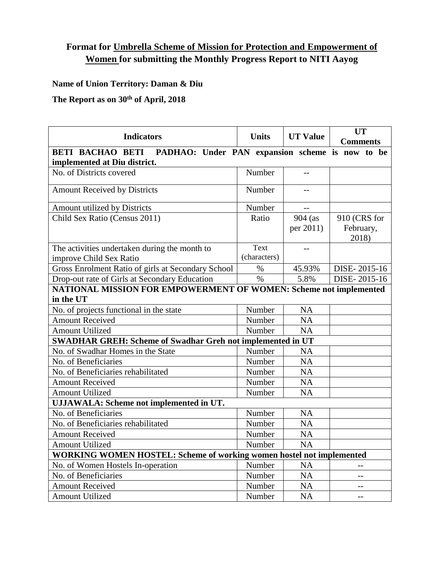## **Format for Umbrella Scheme of Mission for Protection and Empowerment of Women for submitting the Monthly Progress Report to NITI Aayog**

**Name of Union Territory: Daman & Diu**

**The Report as on 30th of April, 2018**

| <b>Indicators</b>                                                           | <b>Units</b> | <b>UT Value</b> | <b>UT</b>       |  |  |
|-----------------------------------------------------------------------------|--------------|-----------------|-----------------|--|--|
|                                                                             |              |                 | <b>Comments</b> |  |  |
| PADHAO: Under PAN expansion scheme is now to be<br><b>BETI BACHAO BETI</b>  |              |                 |                 |  |  |
| implemented at Diu district.                                                |              |                 |                 |  |  |
| No. of Districts covered                                                    | Number       |                 |                 |  |  |
| <b>Amount Received by Districts</b>                                         | Number       | $-$             |                 |  |  |
| Amount utilized by Districts                                                | Number       |                 |                 |  |  |
| Child Sex Ratio (Census 2011)                                               | Ratio        | $904$ (as       | 910 (CRS for    |  |  |
|                                                                             |              | per 2011)       | February,       |  |  |
|                                                                             |              |                 | 2018)           |  |  |
| The activities undertaken during the month to                               | <b>Text</b>  |                 |                 |  |  |
| improve Child Sex Ratio                                                     | (characters) |                 |                 |  |  |
| Gross Enrolment Ratio of girls at Secondary School                          | $\%$         | 45.93%          | DISE-2015-16    |  |  |
| Drop-out rate of Girls at Secondary Education                               | $\%$         | 5.8%            | DISE-2015-16    |  |  |
| <b>NATIONAL MISSION FOR EMPOWERMENT OF WOMEN: Scheme not implemented</b>    |              |                 |                 |  |  |
| in the UT                                                                   |              |                 |                 |  |  |
| No. of projects functional in the state                                     | Number       | NA              |                 |  |  |
| <b>Amount Received</b>                                                      | Number       | <b>NA</b>       |                 |  |  |
| <b>Amount Utilized</b>                                                      | Number       | <b>NA</b>       |                 |  |  |
| <b>SWADHAR GREH: Scheme of Swadhar Greh not implemented in UT</b>           |              |                 |                 |  |  |
| No. of Swadhar Homes in the State                                           | Number       | <b>NA</b>       |                 |  |  |
| No. of Beneficiaries                                                        | Number       | <b>NA</b>       |                 |  |  |
| No. of Beneficiaries rehabilitated                                          | Number       | <b>NA</b>       |                 |  |  |
| <b>Amount Received</b>                                                      | Number       | NA              |                 |  |  |
| <b>Amount Utilized</b>                                                      | Number       | NA              |                 |  |  |
| UJJAWALA: Scheme not implemented in UT.                                     |              |                 |                 |  |  |
| No. of Beneficiaries                                                        | Number       | <b>NA</b>       |                 |  |  |
| No. of Beneficiaries rehabilitated                                          | Number       | <b>NA</b>       |                 |  |  |
| <b>Amount Received</b>                                                      | Number       | NA              |                 |  |  |
| <b>Amount Utilized</b>                                                      | Number       | <b>NA</b>       |                 |  |  |
| <b>WORKING WOMEN HOSTEL: Scheme of working women hostel not implemented</b> |              |                 |                 |  |  |
| No. of Women Hostels In-operation                                           | Number       | <b>NA</b>       |                 |  |  |
| No. of Beneficiaries                                                        | Number       | <b>NA</b>       | $-$             |  |  |
| <b>Amount Received</b>                                                      | Number       | <b>NA</b>       | $-$             |  |  |
| <b>Amount Utilized</b>                                                      | Number       | <b>NA</b>       |                 |  |  |